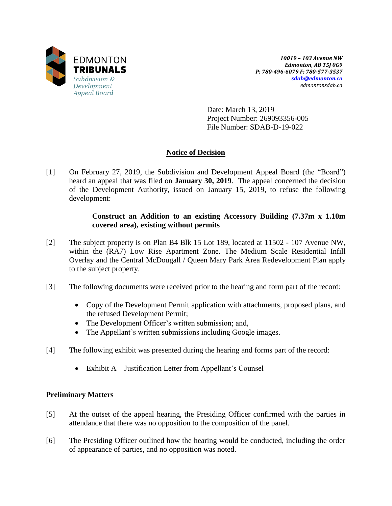

*10019 – 103 Avenue NW Edmonton, AB T5J 0G9 P: 780-496-6079 F: 780-577-3537 [sdab@edmonton.ca](mailto:sdab@edmonton.ca) edmontonsdab.ca*

Date: March 13, 2019 Project Number: 269093356-005 File Number: SDAB-D-19-022

## **Notice of Decision**

[1] On February 27, 2019, the Subdivision and Development Appeal Board (the "Board") heard an appeal that was filed on **January 30, 2019**. The appeal concerned the decision of the Development Authority, issued on January 15, 2019, to refuse the following development:

### **Construct an Addition to an existing Accessory Building (7.37m x 1.10m covered area), existing without permits**

- [2] The subject property is on Plan B4 Blk 15 Lot 189, located at 11502 107 Avenue NW, within the (RA7) Low Rise Apartment Zone. The Medium Scale Residential Infill Overlay and the Central McDougall / Queen Mary Park Area Redevelopment Plan apply to the subject property.
- [3] The following documents were received prior to the hearing and form part of the record:
	- Copy of the Development Permit application with attachments, proposed plans, and the refused Development Permit;
	- The Development Officer's written submission; and,
	- The Appellant's written submissions including Google images.
- [4] The following exhibit was presented during the hearing and forms part of the record:
	- Exhibit A Justification Letter from Appellant's Counsel

### **Preliminary Matters**

- [5] At the outset of the appeal hearing, the Presiding Officer confirmed with the parties in attendance that there was no opposition to the composition of the panel.
- [6] The Presiding Officer outlined how the hearing would be conducted, including the order of appearance of parties, and no opposition was noted.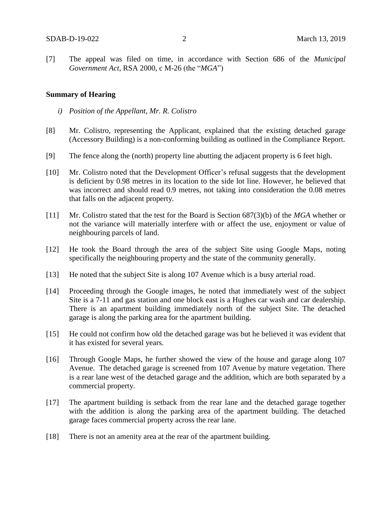[7] The appeal was filed on time, in accordance with Section 686 of the *Municipal Government Act*, RSA 2000, c M-26 (the "*MGA*")

#### **Summary of Hearing**

- *i) Position of the Appellant, Mr. R. Colistro*
- [8] Mr. Colistro, representing the Applicant, explained that the existing detached garage (Accessory Building) is a non-conforming building as outlined in the Compliance Report.
- [9] The fence along the (north) property line abutting the adjacent property is 6 feet high.
- [10] Mr. Colistro noted that the Development Officer's refusal suggests that the development is deficient by 0.98 metres in its location to the side lot line. However, he believed that was incorrect and should read 0.9 metres, not taking into consideration the 0.08 metres that falls on the adjacent property.
- [11] Mr. Colistro stated that the test for the Board is Section 687(3)(b) of the *MGA* whether or not the variance will materially interfere with or affect the use, enjoyment or value of neighbouring parcels of land.
- [12] He took the Board through the area of the subject Site using Google Maps, noting specifically the neighbouring property and the state of the community generally.
- [13] He noted that the subject Site is along 107 Avenue which is a busy arterial road.
- [14] Proceeding through the Google images, he noted that immediately west of the subject Site is a 7-11 and gas station and one block east is a Hughes car wash and car dealership. There is an apartment building immediately north of the subject Site. The detached garage is along the parking area for the apartment building.
- [15] He could not confirm how old the detached garage was but he believed it was evident that it has existed for several years.
- [16] Through Google Maps, he further showed the view of the house and garage along 107 Avenue. The detached garage is screened from 107 Avenue by mature vegetation. There is a rear lane west of the detached garage and the addition, which are both separated by a commercial property.
- [17] The apartment building is setback from the rear lane and the detached garage together with the addition is along the parking area of the apartment building. The detached garage faces commercial property across the rear lane.
- [18] There is not an amenity area at the rear of the apartment building.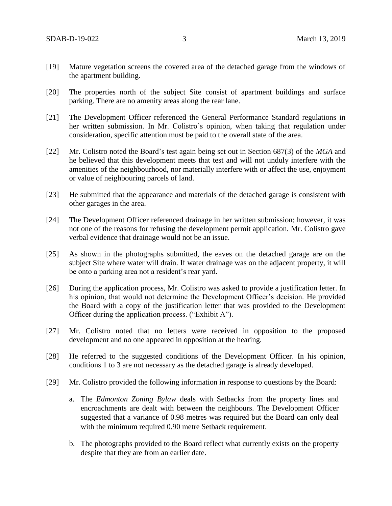- [19] Mature vegetation screens the covered area of the detached garage from the windows of the apartment building.
- [20] The properties north of the subject Site consist of apartment buildings and surface parking. There are no amenity areas along the rear lane.
- [21] The Development Officer referenced the General Performance Standard regulations in her written submission. In Mr. Colistro's opinion, when taking that regulation under consideration, specific attention must be paid to the overall state of the area.
- [22] Mr. Colistro noted the Board's test again being set out in Section 687(3) of the *MGA* and he believed that this development meets that test and will not unduly interfere with the amenities of the neighbourhood, nor materially interfere with or affect the use, enjoyment or value of neighbouring parcels of land.
- [23] He submitted that the appearance and materials of the detached garage is consistent with other garages in the area.
- [24] The Development Officer referenced drainage in her written submission; however, it was not one of the reasons for refusing the development permit application. Mr. Colistro gave verbal evidence that drainage would not be an issue.
- [25] As shown in the photographs submitted, the eaves on the detached garage are on the subject Site where water will drain. If water drainage was on the adjacent property, it will be onto a parking area not a resident's rear yard.
- [26] During the application process, Mr. Colistro was asked to provide a justification letter. In his opinion, that would not determine the Development Officer's decision. He provided the Board with a copy of the justification letter that was provided to the Development Officer during the application process. ("Exhibit A").
- [27] Mr. Colistro noted that no letters were received in opposition to the proposed development and no one appeared in opposition at the hearing.
- [28] He referred to the suggested conditions of the Development Officer. In his opinion, conditions 1 to 3 are not necessary as the detached garage is already developed.
- [29] Mr. Colistro provided the following information in response to questions by the Board:
	- a. The *Edmonton Zoning Bylaw* deals with Setbacks from the property lines and encroachments are dealt with between the neighbours. The Development Officer suggested that a variance of 0.98 metres was required but the Board can only deal with the minimum required 0.90 metre Setback requirement.
	- b. The photographs provided to the Board reflect what currently exists on the property despite that they are from an earlier date.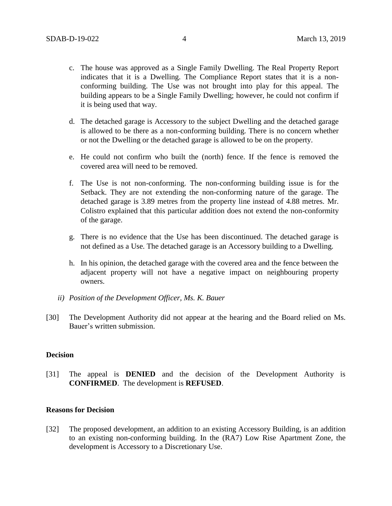- c. The house was approved as a Single Family Dwelling. The Real Property Report indicates that it is a Dwelling. The Compliance Report states that it is a nonconforming building. The Use was not brought into play for this appeal. The building appears to be a Single Family Dwelling; however, he could not confirm if it is being used that way.
- d. The detached garage is Accessory to the subject Dwelling and the detached garage is allowed to be there as a non-conforming building. There is no concern whether or not the Dwelling or the detached garage is allowed to be on the property.
- e. He could not confirm who built the (north) fence. If the fence is removed the covered area will need to be removed.
- f. The Use is not non-conforming. The non-conforming building issue is for the Setback. They are not extending the non-conforming nature of the garage. The detached garage is 3.89 metres from the property line instead of 4.88 metres. Mr. Colistro explained that this particular addition does not extend the non-conformity of the garage.
- g. There is no evidence that the Use has been discontinued. The detached garage is not defined as a Use. The detached garage is an Accessory building to a Dwelling.
- h. In his opinion, the detached garage with the covered area and the fence between the adjacent property will not have a negative impact on neighbouring property owners.
- *ii) Position of the Development Officer, Ms. K. Bauer*
- [30] The Development Authority did not appear at the hearing and the Board relied on Ms. Bauer's written submission.

#### **Decision**

[31] The appeal is **DENIED** and the decision of the Development Authority is **CONFIRMED**. The development is **REFUSED**.

#### **Reasons for Decision**

[32] The proposed development, an addition to an existing Accessory Building, is an addition to an existing non-conforming building. In the (RA7) Low Rise Apartment Zone, the development is Accessory to a Discretionary Use.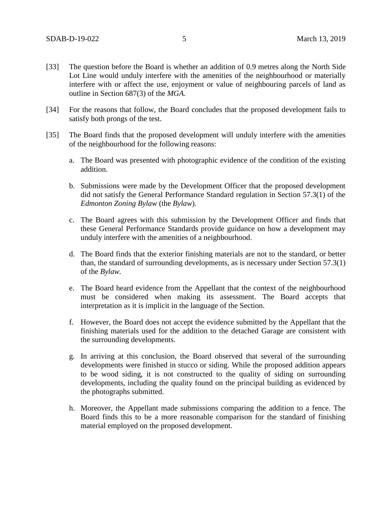- [33] The question before the Board is whether an addition of 0.9 metres along the North Side Lot Line would unduly interfere with the amenities of the neighbourhood or materially interfere with or affect the use, enjoyment or value of neighbouring parcels of land as outline in Section 687(3) of the *MGA*.
- [34] For the reasons that follow, the Board concludes that the proposed development fails to satisfy both prongs of the test.
- [35] The Board finds that the proposed development will unduly interfere with the amenities of the neighbourhood for the following reasons:
	- a. The Board was presented with photographic evidence of the condition of the existing addition.
	- b. Submissions were made by the Development Officer that the proposed development did not satisfy the General Performance Standard regulation in Section 57.3(1) of the *Edmonton Zoning Bylaw* (the *Bylaw*).
	- c. The Board agrees with this submission by the Development Officer and finds that these General Performance Standards provide guidance on how a development may unduly interfere with the amenities of a neighbourhood.
	- d. The Board finds that the exterior finishing materials are not to the standard, or better than, the standard of surrounding developments, as is necessary under Section 57.3(1) of the *Bylaw.*
	- e. The Board heard evidence from the Appellant that the context of the neighbourhood must be considered when making its assessment. The Board accepts that interpretation as it is implicit in the language of the Section.
	- f. However, the Board does not accept the evidence submitted by the Appellant that the finishing materials used for the addition to the detached Garage are consistent with the surrounding developments.
	- g. In arriving at this conclusion, the Board observed that several of the surrounding developments were finished in stucco or siding. While the proposed addition appears to be wood siding, it is not constructed to the quality of siding on surrounding developments, including the quality found on the principal building as evidenced by the photographs submitted.
	- h. Moreover, the Appellant made submissions comparing the addition to a fence. The Board finds this to be a more reasonable comparison for the standard of finishing material employed on the proposed development.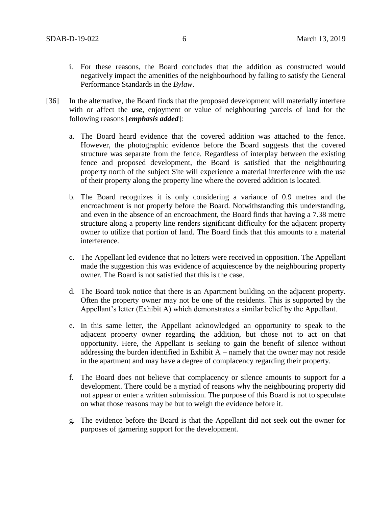- i. For these reasons, the Board concludes that the addition as constructed would negatively impact the amenities of the neighbourhood by failing to satisfy the General Performance Standards in the *Bylaw*.
- [36] In the alternative, the Board finds that the proposed development will materially interfere with or affect the *use*, enjoyment or value of neighbouring parcels of land for the following reasons [*emphasis added*]:
	- a. The Board heard evidence that the covered addition was attached to the fence. However, the photographic evidence before the Board suggests that the covered structure was separate from the fence. Regardless of interplay between the existing fence and proposed development, the Board is satisfied that the neighbouring property north of the subject Site will experience a material interference with the use of their property along the property line where the covered addition is located.
	- b. The Board recognizes it is only considering a variance of 0.9 metres and the encroachment is not properly before the Board. Notwithstanding this understanding, and even in the absence of an encroachment, the Board finds that having a 7.38 metre structure along a property line renders significant difficulty for the adjacent property owner to utilize that portion of land. The Board finds that this amounts to a material interference.
	- c. The Appellant led evidence that no letters were received in opposition. The Appellant made the suggestion this was evidence of acquiescence by the neighbouring property owner. The Board is not satisfied that this is the case.
	- d. The Board took notice that there is an Apartment building on the adjacent property. Often the property owner may not be one of the residents. This is supported by the Appellant's letter (Exhibit A) which demonstrates a similar belief by the Appellant.
	- e. In this same letter, the Appellant acknowledged an opportunity to speak to the adjacent property owner regarding the addition, but chose not to act on that opportunity. Here, the Appellant is seeking to gain the benefit of silence without addressing the burden identified in Exhibit  $A$  – namely that the owner may not reside in the apartment and may have a degree of complacency regarding their property.
	- f. The Board does not believe that complacency or silence amounts to support for a development. There could be a myriad of reasons why the neighbouring property did not appear or enter a written submission. The purpose of this Board is not to speculate on what those reasons may be but to weigh the evidence before it.
	- g. The evidence before the Board is that the Appellant did not seek out the owner for purposes of garnering support for the development.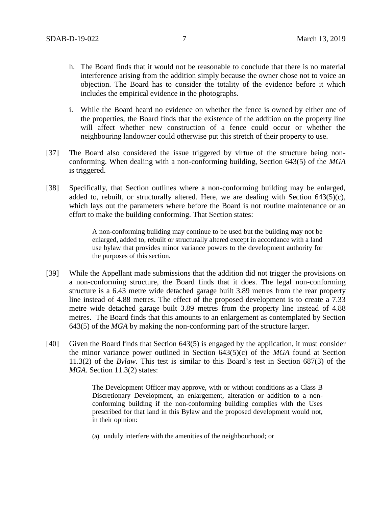- h. The Board finds that it would not be reasonable to conclude that there is no material interference arising from the addition simply because the owner chose not to voice an objection. The Board has to consider the totality of the evidence before it which includes the empirical evidence in the photographs.
- i. While the Board heard no evidence on whether the fence is owned by either one of the properties, the Board finds that the existence of the addition on the property line will affect whether new construction of a fence could occur or whether the neighbouring landowner could otherwise put this stretch of their property to use.
- [37] The Board also considered the issue triggered by virtue of the structure being nonconforming. When dealing with a non-conforming building, Section 643(5) of the *MGA* is triggered.
- [38] Specifically, that Section outlines where a non-conforming building may be enlarged, added to, rebuilt, or structurally altered. Here, we are dealing with Section  $643(5)(c)$ , which lays out the parameters where before the Board is not routine maintenance or an effort to make the building conforming. That Section states:

A non-conforming building may continue to be used but the building may not be enlarged, added to, rebuilt or structurally altered except in accordance with a land use bylaw that provides minor variance powers to the development authority for the purposes of this section.

- [39] While the Appellant made submissions that the addition did not trigger the provisions on a non-conforming structure, the Board finds that it does. The legal non-conforming structure is a 6.43 metre wide detached garage built 3.89 metres from the rear property line instead of 4.88 metres. The effect of the proposed development is to create a 7.33 metre wide detached garage built 3.89 metres from the property line instead of 4.88 metres. The Board finds that this amounts to an enlargement as contemplated by Section 643(5) of the *MGA* by making the non-conforming part of the structure larger.
- [40] Given the Board finds that Section 643(5) is engaged by the application, it must consider the minor variance power outlined in Section 643(5)(c) of the *MGA* found at Section 11.3(2) of the *Bylaw*. This test is similar to this Board's test in Section 687(3) of the *MGA*. Section 11.3(2) states:

The Development Officer may approve, with or without conditions as a Class B Discretionary Development, an enlargement, alteration or addition to a nonconforming building if the non-conforming building complies with the Uses prescribed for that land in this Bylaw and the proposed development would not, in their opinion:

(a) unduly interfere with the amenities of the neighbourhood; or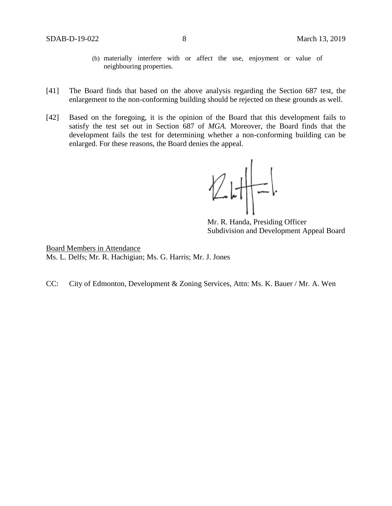- (b) materially interfere with or affect the use, enjoyment or value of neighbouring properties.
- [41] The Board finds that based on the above analysis regarding the Section 687 test, the enlargement to the non-conforming building should be rejected on these grounds as well.
- [42] Based on the foregoing, it is the opinion of the Board that this development fails to satisfy the test set out in Section 687 of *MGA.* Moreover, the Board finds that the development fails the test for determining whether a non-conforming building can be enlarged. For these reasons, the Board denies the appeal.

 $247-1$ 

Mr. R. Handa, Presiding Officer Subdivision and Development Appeal Board

Board Members in Attendance Ms. L. Delfs; Mr. R. Hachigian; Ms. G. Harris; Mr. J. Jones

CC: City of Edmonton, Development & Zoning Services, Attn: Ms. K. Bauer / Mr. A. Wen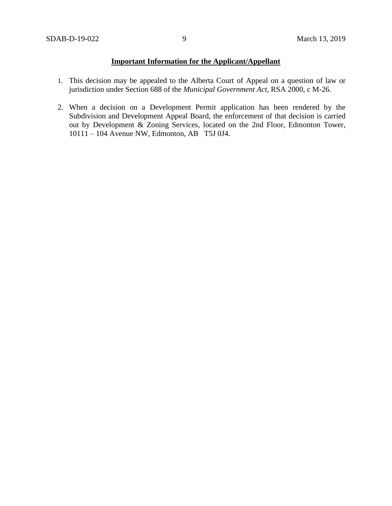#### **Important Information for the Applicant/Appellant**

- 1. This decision may be appealed to the Alberta Court of Appeal on a question of law or jurisdiction under Section 688 of the *Municipal Government Act*, RSA 2000, c M-26.
- 2. When a decision on a Development Permit application has been rendered by the Subdivision and Development Appeal Board, the enforcement of that decision is carried out by Development & Zoning Services, located on the 2nd Floor, Edmonton Tower, 10111 – 104 Avenue NW, Edmonton, AB T5J 0J4.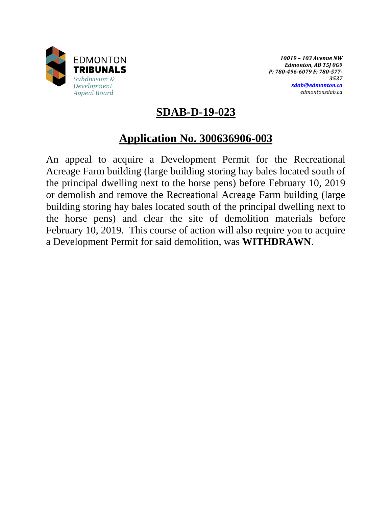

*10019 – 103 Avenue NW Edmonton, AB T5J 0G9 P: 780-496-6079 F: 780-577- 3537 [sdab@edmonton.ca](mailto:sdab@edmonton.ca) edmontonsdab.ca*

## **SDAB-D-19-023**

# **Application No. 300636906-003**

An appeal to acquire a Development Permit for the Recreational Acreage Farm building (large building storing hay bales located south of the principal dwelling next to the horse pens) before February 10, 2019 or demolish and remove the Recreational Acreage Farm building (large building storing hay bales located south of the principal dwelling next to the horse pens) and clear the site of demolition materials before February 10, 2019. This course of action will also require you to acquire a Development Permit for said demolition, was **WITHDRAWN**.